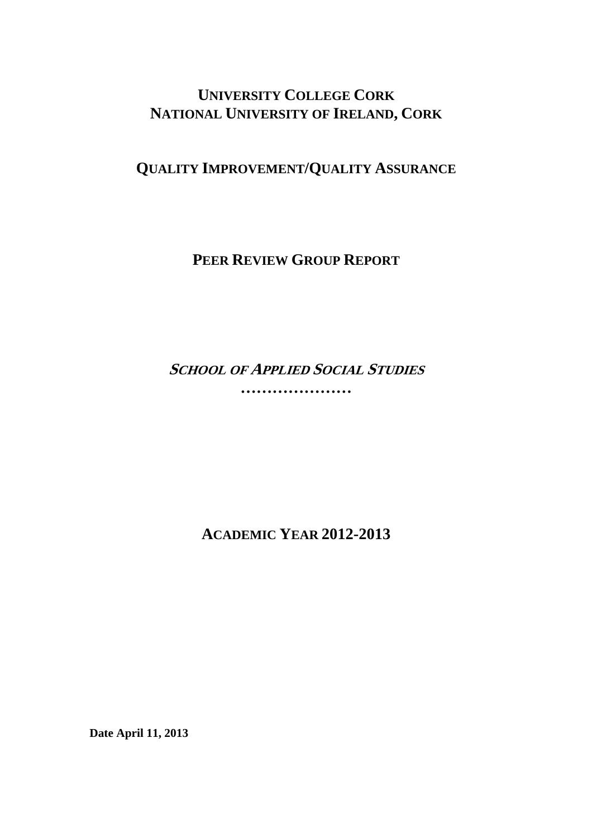## **UNIVERSITY COLLEGE CORK NATIONAL UNIVERSITY OF IRELAND, CORK**

# **QUALITY IMPROVEMENT/QUALITY ASSURANCE**

**PEER REVIEW GROUP REPORT**

**SCHOOL OF APPLIED SOCIAL STUDIES …………………** 

**ACADEMIC YEAR 2012-2013** 

**Date April 11, 2013**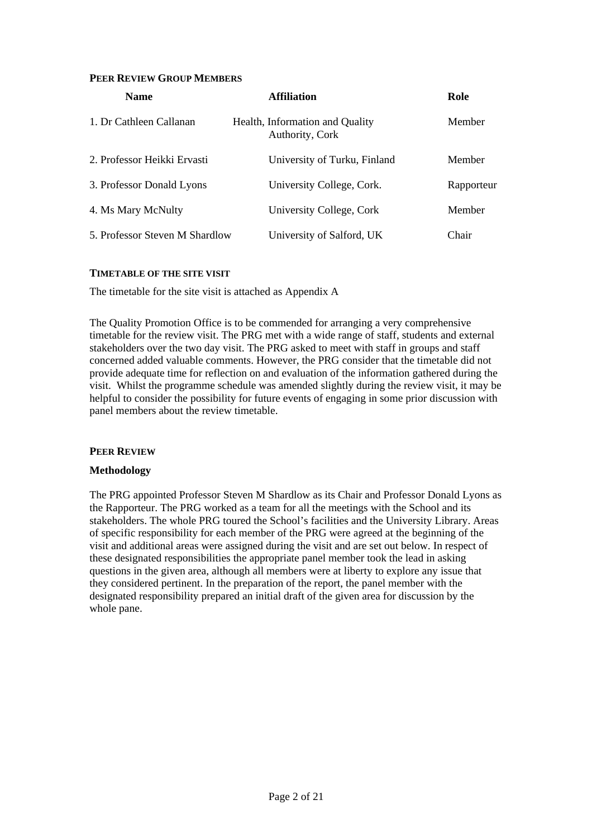#### **PEER REVIEW GROUP MEMBERS**

| <b>Name</b>                    | <b>Affiliation</b>                                 | Role       |
|--------------------------------|----------------------------------------------------|------------|
| 1. Dr Cathleen Callanan        | Health, Information and Quality<br>Authority, Cork | Member     |
| 2. Professor Heikki Ervasti    | University of Turku, Finland                       | Member     |
| 3. Professor Donald Lyons      | University College, Cork.                          | Rapporteur |
| 4. Ms Mary McNulty             | University College, Cork                           | Member     |
| 5. Professor Steven M Shardlow | University of Salford, UK                          | Chair      |

#### **TIMETABLE OF THE SITE VISIT**

The timetable for the site visit is attached as Appendix A

The Quality Promotion Office is to be commended for arranging a very comprehensive timetable for the review visit. The PRG met with a wide range of staff, students and external stakeholders over the two day visit. The PRG asked to meet with staff in groups and staff concerned added valuable comments. However, the PRG consider that the timetable did not provide adequate time for reflection on and evaluation of the information gathered during the visit. Whilst the programme schedule was amended slightly during the review visit, it may be helpful to consider the possibility for future events of engaging in some prior discussion with panel members about the review timetable.

#### **PEER REVIEW**

#### **Methodology**

The PRG appointed Professor Steven M Shardlow as its Chair and Professor Donald Lyons as the Rapporteur. The PRG worked as a team for all the meetings with the School and its stakeholders. The whole PRG toured the School's facilities and the University Library. Areas of specific responsibility for each member of the PRG were agreed at the beginning of the visit and additional areas were assigned during the visit and are set out below. In respect of these designated responsibilities the appropriate panel member took the lead in asking questions in the given area, although all members were at liberty to explore any issue that they considered pertinent. In the preparation of the report, the panel member with the designated responsibility prepared an initial draft of the given area for discussion by the whole pane.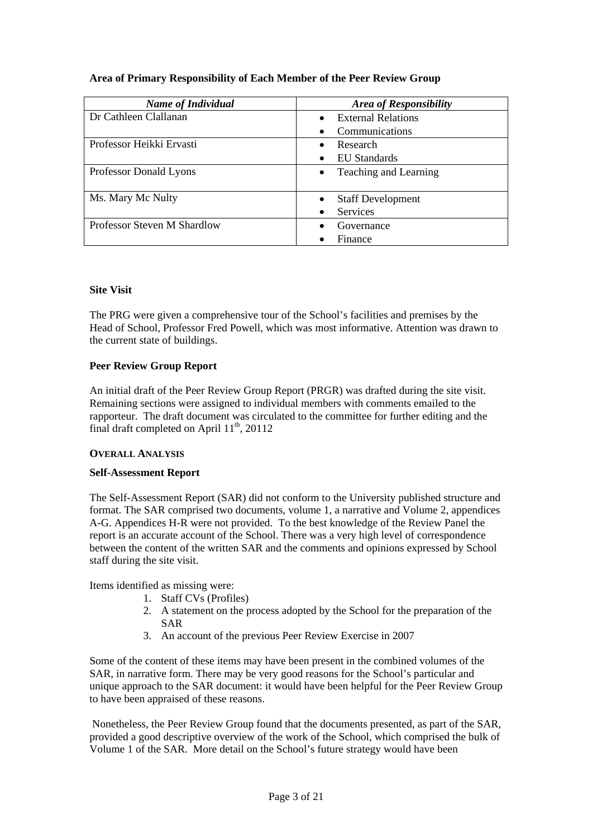|  |  | Area of Primary Responsibility of Each Member of the Peer Review Group |  |  |
|--|--|------------------------------------------------------------------------|--|--|
|--|--|------------------------------------------------------------------------|--|--|

| <b>Name of Individual</b>   | <b>Area of Responsibility</b>      |
|-----------------------------|------------------------------------|
| Dr Cathleen Clallanan       | <b>External Relations</b>          |
|                             | Communications                     |
| Professor Heikki Ervasti    | Research                           |
|                             | EU Standards                       |
| Professor Donald Lyons      | Teaching and Learning<br>$\bullet$ |
|                             |                                    |
| Ms. Mary Mc Nulty           | <b>Staff Development</b>           |
|                             | <b>Services</b><br>$\bullet$       |
| Professor Steven M Shardlow | Governance                         |
|                             | Finance                            |

## **Site Visit**

The PRG were given a comprehensive tour of the School's facilities and premises by the Head of School, Professor Fred Powell, which was most informative. Attention was drawn to the current state of buildings.

## **Peer Review Group Report**

An initial draft of the Peer Review Group Report (PRGR) was drafted during the site visit. Remaining sections were assigned to individual members with comments emailed to the rapporteur. The draft document was circulated to the committee for further editing and the final draft completed on April  $11^{th}$ , 20112

#### **OVERALL ANALYSIS**

#### **Self-Assessment Report**

The Self-Assessment Report (SAR) did not conform to the University published structure and format. The SAR comprised two documents, volume 1, a narrative and Volume 2, appendices A-G. Appendices H-R were not provided. To the best knowledge of the Review Panel the report is an accurate account of the School. There was a very high level of correspondence between the content of the written SAR and the comments and opinions expressed by School staff during the site visit.

Items identified as missing were:

- 1. Staff CVs (Profiles)
- 2. A statement on the process adopted by the School for the preparation of the SAR
- 3. An account of the previous Peer Review Exercise in 2007

Some of the content of these items may have been present in the combined volumes of the SAR, in narrative form. There may be very good reasons for the School's particular and unique approach to the SAR document: it would have been helpful for the Peer Review Group to have been appraised of these reasons.

 Nonetheless, the Peer Review Group found that the documents presented, as part of the SAR, provided a good descriptive overview of the work of the School, which comprised the bulk of Volume 1 of the SAR. More detail on the School's future strategy would have been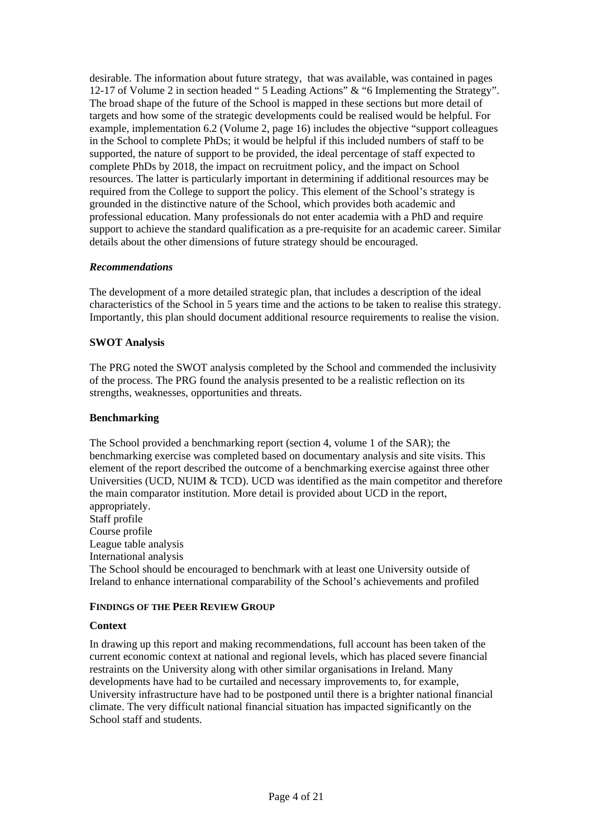desirable. The information about future strategy, that was available, was contained in pages 12-17 of Volume 2 in section headed " 5 Leading Actions" & "6 Implementing the Strategy". The broad shape of the future of the School is mapped in these sections but more detail of targets and how some of the strategic developments could be realised would be helpful. For example, implementation 6.2 (Volume 2, page 16) includes the objective "support colleagues in the School to complete PhDs; it would be helpful if this included numbers of staff to be supported, the nature of support to be provided, the ideal percentage of staff expected to complete PhDs by 2018, the impact on recruitment policy, and the impact on School resources. The latter is particularly important in determining if additional resources may be required from the College to support the policy. This element of the School's strategy is grounded in the distinctive nature of the School, which provides both academic and professional education. Many professionals do not enter academia with a PhD and require support to achieve the standard qualification as a pre-requisite for an academic career. Similar details about the other dimensions of future strategy should be encouraged.

### *Recommendations*

The development of a more detailed strategic plan, that includes a description of the ideal characteristics of the School in 5 years time and the actions to be taken to realise this strategy. Importantly, this plan should document additional resource requirements to realise the vision.

### **SWOT Analysis**

The PRG noted the SWOT analysis completed by the School and commended the inclusivity of the process. The PRG found the analysis presented to be a realistic reflection on its strengths, weaknesses, opportunities and threats.

### **Benchmarking**

The School provided a benchmarking report (section 4, volume 1 of the SAR); the benchmarking exercise was completed based on documentary analysis and site visits. This element of the report described the outcome of a benchmarking exercise against three other Universities (UCD, NUIM & TCD). UCD was identified as the main competitor and therefore the main comparator institution. More detail is provided about UCD in the report, appropriately. Staff profile Course profile

League table analysis

International analysis

The School should be encouraged to benchmark with at least one University outside of Ireland to enhance international comparability of the School's achievements and profiled

#### **FINDINGS OF THE PEER REVIEW GROUP**

#### **Context**

In drawing up this report and making recommendations, full account has been taken of the current economic context at national and regional levels, which has placed severe financial restraints on the University along with other similar organisations in Ireland. Many developments have had to be curtailed and necessary improvements to, for example, University infrastructure have had to be postponed until there is a brighter national financial climate. The very difficult national financial situation has impacted significantly on the School staff and students.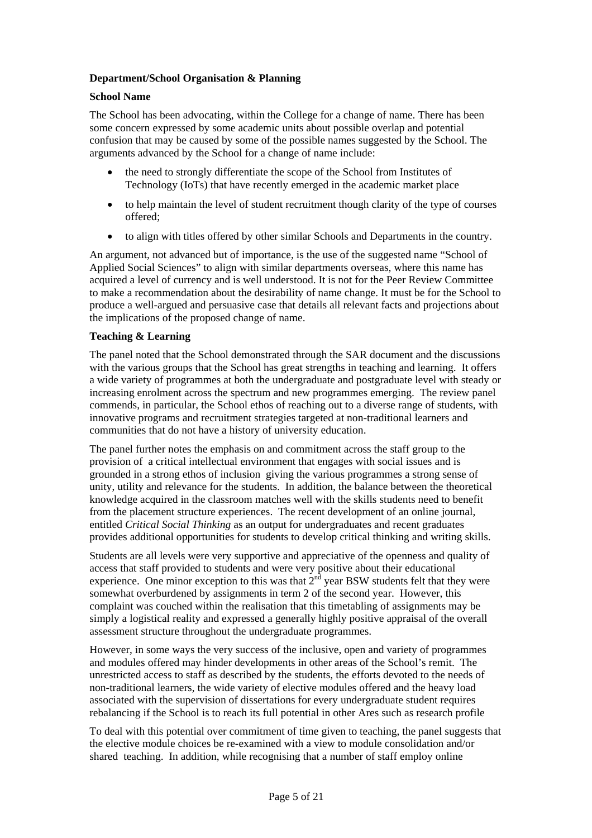## **Department/School Organisation & Planning**

#### **School Name**

The School has been advocating, within the College for a change of name. There has been some concern expressed by some academic units about possible overlap and potential confusion that may be caused by some of the possible names suggested by the School. The arguments advanced by the School for a change of name include:

- the need to strongly differentiate the scope of the School from Institutes of Technology (IoTs) that have recently emerged in the academic market place
- to help maintain the level of student recruitment though clarity of the type of courses offered;
- to align with titles offered by other similar Schools and Departments in the country.

An argument, not advanced but of importance, is the use of the suggested name "School of Applied Social Sciences" to align with similar departments overseas, where this name has acquired a level of currency and is well understood. It is not for the Peer Review Committee to make a recommendation about the desirability of name change. It must be for the School to produce a well-argued and persuasive case that details all relevant facts and projections about the implications of the proposed change of name.

### **Teaching & Learning**

The panel noted that the School demonstrated through the SAR document and the discussions with the various groups that the School has great strengths in teaching and learning. It offers a wide variety of programmes at both the undergraduate and postgraduate level with steady or increasing enrolment across the spectrum and new programmes emerging. The review panel commends, in particular, the School ethos of reaching out to a diverse range of students, with innovative programs and recruitment strategies targeted at non-traditional learners and communities that do not have a history of university education.

The panel further notes the emphasis on and commitment across the staff group to the provision of a critical intellectual environment that engages with social issues and is grounded in a strong ethos of inclusion giving the various programmes a strong sense of unity, utility and relevance for the students. In addition, the balance between the theoretical knowledge acquired in the classroom matches well with the skills students need to benefit from the placement structure experiences. The recent development of an online journal, entitled *Critical Social Thinking* as an output for undergraduates and recent graduates provides additional opportunities for students to develop critical thinking and writing skills.

Students are all levels were very supportive and appreciative of the openness and quality of access that staff provided to students and were very positive about their educational experience. One minor exception to this was that  $2<sup>nd</sup>$  year BSW students felt that they were somewhat overburdened by assignments in term 2 of the second year. However, this complaint was couched within the realisation that this timetabling of assignments may be simply a logistical reality and expressed a generally highly positive appraisal of the overall assessment structure throughout the undergraduate programmes.

However, in some ways the very success of the inclusive, open and variety of programmes and modules offered may hinder developments in other areas of the School's remit. The unrestricted access to staff as described by the students, the efforts devoted to the needs of non-traditional learners, the wide variety of elective modules offered and the heavy load associated with the supervision of dissertations for every undergraduate student requires rebalancing if the School is to reach its full potential in other Ares such as research profile

To deal with this potential over commitment of time given to teaching, the panel suggests that the elective module choices be re-examined with a view to module consolidation and/or shared teaching. In addition, while recognising that a number of staff employ online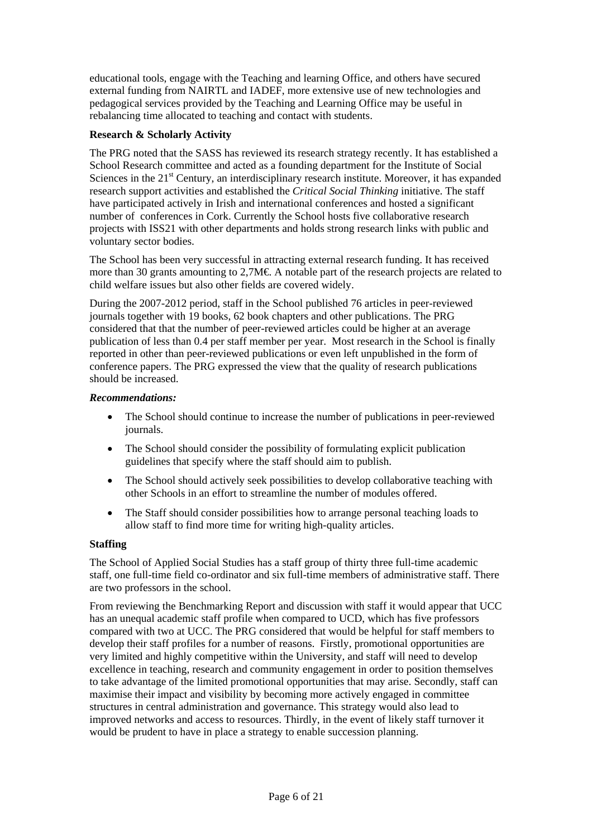educational tools, engage with the Teaching and learning Office, and others have secured external funding from NAIRTL and IADEF, more extensive use of new technologies and pedagogical services provided by the Teaching and Learning Office may be useful in rebalancing time allocated to teaching and contact with students.

## **Research & Scholarly Activity**

The PRG noted that the SASS has reviewed its research strategy recently. It has established a School Research committee and acted as a founding department for the Institute of Social Sciences in the  $21<sup>st</sup>$  Century, an interdisciplinary research institute. Moreover, it has expanded research support activities and established the *Critical Social Thinking* initiative. The staff have participated actively in Irish and international conferences and hosted a significant number of conferences in Cork. Currently the School hosts five collaborative research projects with ISS21 with other departments and holds strong research links with public and voluntary sector bodies.

The School has been very successful in attracting external research funding. It has received more than 30 grants amounting to 2,7M€. A notable part of the research projects are related to child welfare issues but also other fields are covered widely.

During the 2007-2012 period, staff in the School published 76 articles in peer-reviewed journals together with 19 books, 62 book chapters and other publications. The PRG considered that that the number of peer-reviewed articles could be higher at an average publication of less than 0.4 per staff member per year. Most research in the School is finally reported in other than peer-reviewed publications or even left unpublished in the form of conference papers. The PRG expressed the view that the quality of research publications should be increased.

#### *Recommendations:*

- The School should continue to increase the number of publications in peer-reviewed journals.
- The School should consider the possibility of formulating explicit publication guidelines that specify where the staff should aim to publish.
- The School should actively seek possibilities to develop collaborative teaching with other Schools in an effort to streamline the number of modules offered.
- The Staff should consider possibilities how to arrange personal teaching loads to allow staff to find more time for writing high-quality articles.

#### **Staffing**

The School of Applied Social Studies has a staff group of thirty three full-time academic staff, one full-time field co-ordinator and six full-time members of administrative staff. There are two professors in the school.

From reviewing the Benchmarking Report and discussion with staff it would appear that UCC has an unequal academic staff profile when compared to UCD, which has five professors compared with two at UCC. The PRG considered that would be helpful for staff members to develop their staff profiles for a number of reasons. Firstly, promotional opportunities are very limited and highly competitive within the University, and staff will need to develop excellence in teaching, research and community engagement in order to position themselves to take advantage of the limited promotional opportunities that may arise. Secondly, staff can maximise their impact and visibility by becoming more actively engaged in committee structures in central administration and governance. This strategy would also lead to improved networks and access to resources. Thirdly, in the event of likely staff turnover it would be prudent to have in place a strategy to enable succession planning.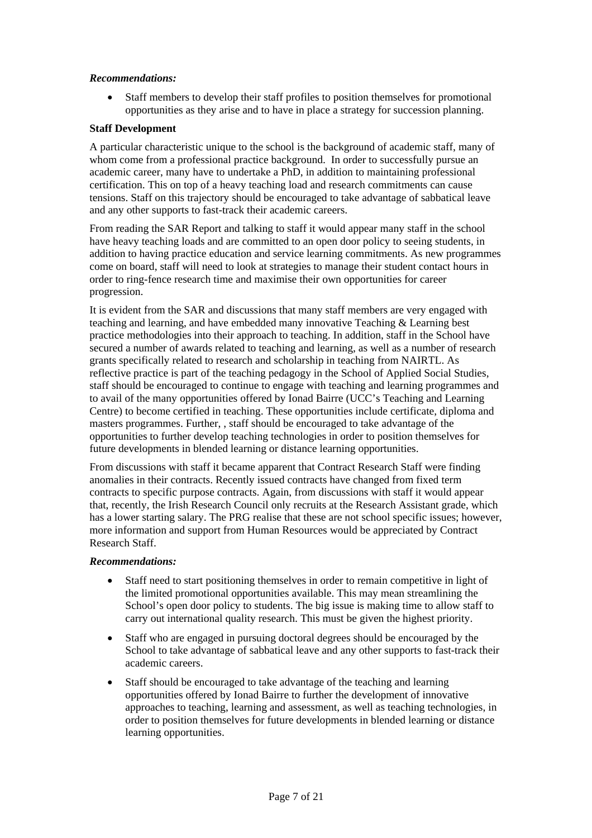### *Recommendations:*

• Staff members to develop their staff profiles to position themselves for promotional opportunities as they arise and to have in place a strategy for succession planning.

#### **Staff Development**

A particular characteristic unique to the school is the background of academic staff, many of whom come from a professional practice background. In order to successfully pursue an academic career, many have to undertake a PhD, in addition to maintaining professional certification. This on top of a heavy teaching load and research commitments can cause tensions. Staff on this trajectory should be encouraged to take advantage of sabbatical leave and any other supports to fast-track their academic careers.

From reading the SAR Report and talking to staff it would appear many staff in the school have heavy teaching loads and are committed to an open door policy to seeing students, in addition to having practice education and service learning commitments. As new programmes come on board, staff will need to look at strategies to manage their student contact hours in order to ring-fence research time and maximise their own opportunities for career progression.

It is evident from the SAR and discussions that many staff members are very engaged with teaching and learning, and have embedded many innovative Teaching & Learning best practice methodologies into their approach to teaching. In addition, staff in the School have secured a number of awards related to teaching and learning, as well as a number of research grants specifically related to research and scholarship in teaching from NAIRTL. As reflective practice is part of the teaching pedagogy in the School of Applied Social Studies, staff should be encouraged to continue to engage with teaching and learning programmes and to avail of the many opportunities offered by Ionad Bairre (UCC's Teaching and Learning Centre) to become certified in teaching. These opportunities include certificate, diploma and masters programmes. Further, , staff should be encouraged to take advantage of the opportunities to further develop teaching technologies in order to position themselves for future developments in blended learning or distance learning opportunities.

From discussions with staff it became apparent that Contract Research Staff were finding anomalies in their contracts. Recently issued contracts have changed from fixed term contracts to specific purpose contracts. Again, from discussions with staff it would appear that, recently, the Irish Research Council only recruits at the Research Assistant grade, which has a lower starting salary. The PRG realise that these are not school specific issues; however, more information and support from Human Resources would be appreciated by Contract Research Staff.

#### *Recommendations:*

- Staff need to start positioning themselves in order to remain competitive in light of the limited promotional opportunities available. This may mean streamlining the School's open door policy to students. The big issue is making time to allow staff to carry out international quality research. This must be given the highest priority.
- Staff who are engaged in pursuing doctoral degrees should be encouraged by the School to take advantage of sabbatical leave and any other supports to fast-track their academic careers.
- Staff should be encouraged to take advantage of the teaching and learning opportunities offered by Ionad Bairre to further the development of innovative approaches to teaching, learning and assessment, as well as teaching technologies, in order to position themselves for future developments in blended learning or distance learning opportunities.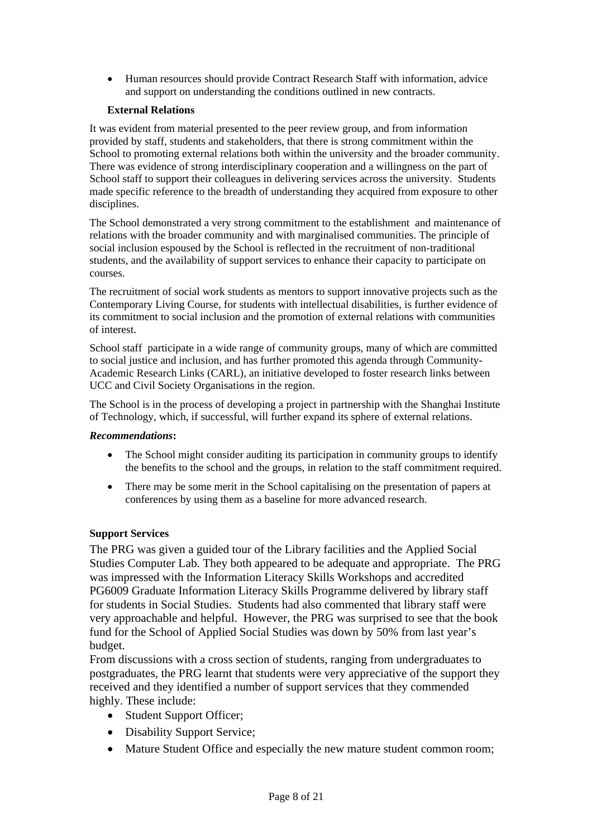• Human resources should provide Contract Research Staff with information, advice and support on understanding the conditions outlined in new contracts.

## **External Relations**

It was evident from material presented to the peer review group, and from information provided by staff, students and stakeholders, that there is strong commitment within the School to promoting external relations both within the university and the broader community. There was evidence of strong interdisciplinary cooperation and a willingness on the part of School staff to support their colleagues in delivering services across the university. Students made specific reference to the breadth of understanding they acquired from exposure to other disciplines.

The School demonstrated a very strong commitment to the establishment and maintenance of relations with the broader community and with marginalised communities. The principle of social inclusion espoused by the School is reflected in the recruitment of non-traditional students, and the availability of support services to enhance their capacity to participate on courses.

The recruitment of social work students as mentors to support innovative projects such as the Contemporary Living Course, for students with intellectual disabilities, is further evidence of its commitment to social inclusion and the promotion of external relations with communities of interest.

School staff participate in a wide range of community groups, many of which are committed to social justice and inclusion, and has further promoted this agenda through Community-Academic Research Links (CARL), an initiative developed to foster research links between UCC and Civil Society Organisations in the region.

The School is in the process of developing a project in partnership with the Shanghai Institute of Technology, which, if successful, will further expand its sphere of external relations.

#### *Recommendations***:**

- The School might consider auditing its participation in community groups to identify the benefits to the school and the groups, in relation to the staff commitment required.
- There may be some merit in the School capitalising on the presentation of papers at conferences by using them as a baseline for more advanced research.

#### **Support Services**

The PRG was given a guided tour of the Library facilities and the Applied Social Studies Computer Lab. They both appeared to be adequate and appropriate. The PRG was impressed with the Information Literacy Skills Workshops and accredited PG6009 Graduate Information Literacy Skills Programme delivered by library staff for students in Social Studies. Students had also commented that library staff were very approachable and helpful. However, the PRG was surprised to see that the book fund for the School of Applied Social Studies was down by 50% from last year's budget.

From discussions with a cross section of students, ranging from undergraduates to postgraduates, the PRG learnt that students were very appreciative of the support they received and they identified a number of support services that they commended highly. These include:

- Student Support Officer;
- Disability Support Service;
- Mature Student Office and especially the new mature student common room;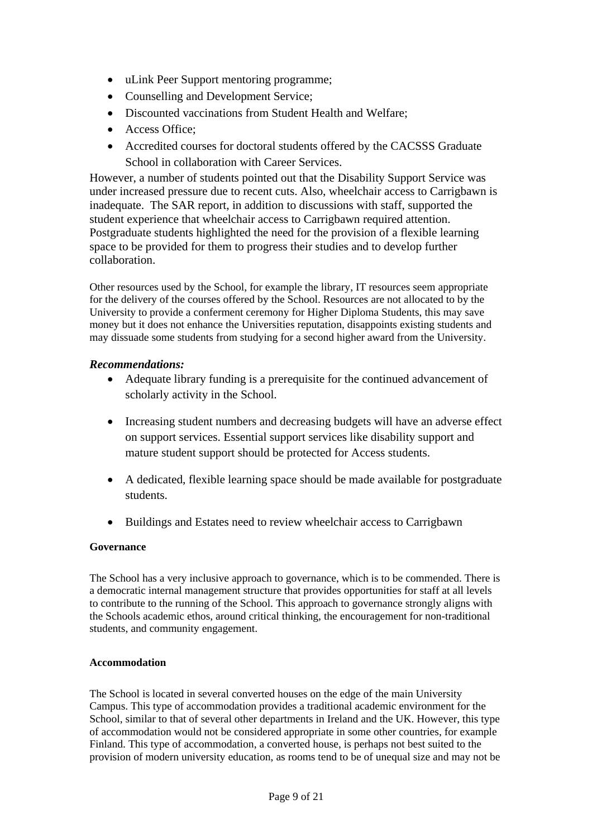- uLink Peer Support mentoring programme;
- Counselling and Development Service:
- Discounted vaccinations from Student Health and Welfare;
- Access Office;
- Accredited courses for doctoral students offered by the CACSSS Graduate School in collaboration with Career Services.

However, a number of students pointed out that the Disability Support Service was under increased pressure due to recent cuts. Also, wheelchair access to Carrigbawn is inadequate. The SAR report, in addition to discussions with staff, supported the student experience that wheelchair access to Carrigbawn required attention. Postgraduate students highlighted the need for the provision of a flexible learning space to be provided for them to progress their studies and to develop further collaboration.

Other resources used by the School, for example the library, IT resources seem appropriate for the delivery of the courses offered by the School. Resources are not allocated to by the University to provide a conferment ceremony for Higher Diploma Students, this may save money but it does not enhance the Universities reputation, disappoints existing students and may dissuade some students from studying for a second higher award from the University.

## *Recommendations:*

- Adequate library funding is a prerequisite for the continued advancement of scholarly activity in the School.
- Increasing student numbers and decreasing budgets will have an adverse effect on support services. Essential support services like disability support and mature student support should be protected for Access students.
- A dedicated, flexible learning space should be made available for postgraduate students.
- Buildings and Estates need to review wheelchair access to Carrigbawn

## **Governance**

The School has a very inclusive approach to governance, which is to be commended. There is a democratic internal management structure that provides opportunities for staff at all levels to contribute to the running of the School. This approach to governance strongly aligns with the Schools academic ethos, around critical thinking, the encouragement for non-traditional students, and community engagement.

## **Accommodation**

The School is located in several converted houses on the edge of the main University Campus. This type of accommodation provides a traditional academic environment for the School, similar to that of several other departments in Ireland and the UK. However, this type of accommodation would not be considered appropriate in some other countries, for example Finland. This type of accommodation, a converted house, is perhaps not best suited to the provision of modern university education, as rooms tend to be of unequal size and may not be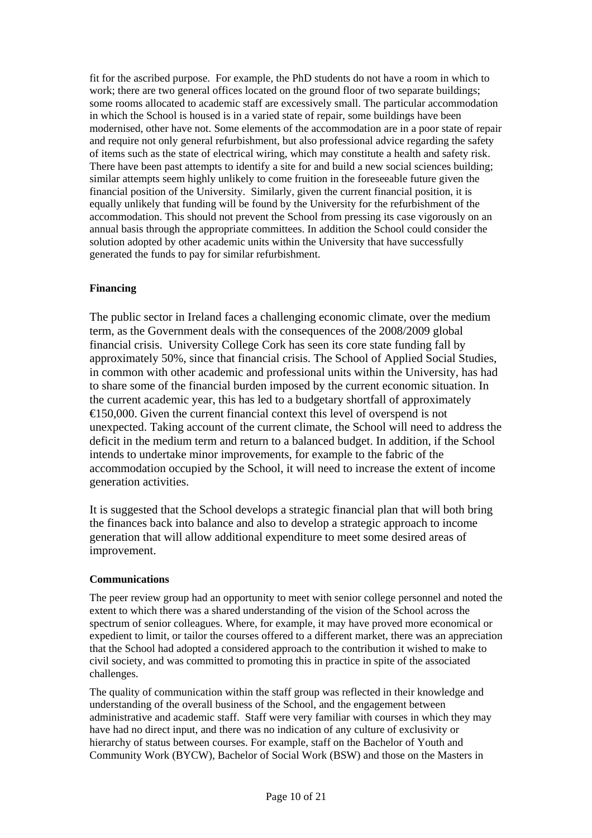fit for the ascribed purpose. For example, the PhD students do not have a room in which to work; there are two general offices located on the ground floor of two separate buildings; some rooms allocated to academic staff are excessively small. The particular accommodation in which the School is housed is in a varied state of repair, some buildings have been modernised, other have not. Some elements of the accommodation are in a poor state of repair and require not only general refurbishment, but also professional advice regarding the safety of items such as the state of electrical wiring, which may constitute a health and safety risk. There have been past attempts to identify a site for and build a new social sciences building; similar attempts seem highly unlikely to come fruition in the foreseeable future given the financial position of the University. Similarly, given the current financial position, it is equally unlikely that funding will be found by the University for the refurbishment of the accommodation. This should not prevent the School from pressing its case vigorously on an annual basis through the appropriate committees. In addition the School could consider the solution adopted by other academic units within the University that have successfully generated the funds to pay for similar refurbishment.

## **Financing**

The public sector in Ireland faces a challenging economic climate, over the medium term, as the Government deals with the consequences of the 2008/2009 global financial crisis. University College Cork has seen its core state funding fall by approximately 50%, since that financial crisis. The School of Applied Social Studies, in common with other academic and professional units within the University, has had to share some of the financial burden imposed by the current economic situation. In the current academic year, this has led to a budgetary shortfall of approximately €150,000. Given the current financial context this level of overspend is not unexpected. Taking account of the current climate, the School will need to address the deficit in the medium term and return to a balanced budget. In addition, if the School intends to undertake minor improvements, for example to the fabric of the accommodation occupied by the School, it will need to increase the extent of income generation activities.

It is suggested that the School develops a strategic financial plan that will both bring the finances back into balance and also to develop a strategic approach to income generation that will allow additional expenditure to meet some desired areas of improvement.

## **Communications**

The peer review group had an opportunity to meet with senior college personnel and noted the extent to which there was a shared understanding of the vision of the School across the spectrum of senior colleagues. Where, for example, it may have proved more economical or expedient to limit, or tailor the courses offered to a different market, there was an appreciation that the School had adopted a considered approach to the contribution it wished to make to civil society, and was committed to promoting this in practice in spite of the associated challenges.

The quality of communication within the staff group was reflected in their knowledge and understanding of the overall business of the School, and the engagement between administrative and academic staff. Staff were very familiar with courses in which they may have had no direct input, and there was no indication of any culture of exclusivity or hierarchy of status between courses. For example, staff on the Bachelor of Youth and Community Work (BYCW), Bachelor of Social Work (BSW) and those on the Masters in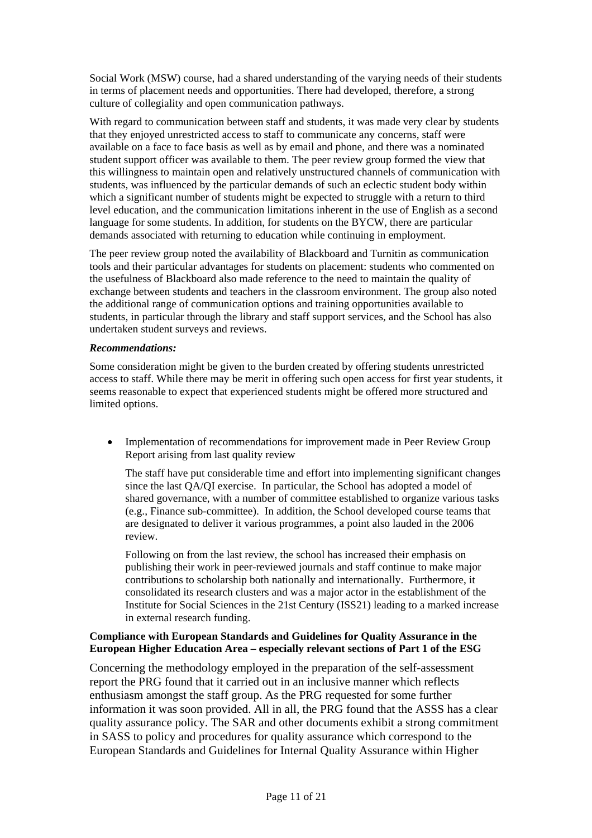Social Work (MSW) course, had a shared understanding of the varying needs of their students in terms of placement needs and opportunities. There had developed, therefore, a strong culture of collegiality and open communication pathways.

With regard to communication between staff and students, it was made very clear by students that they enjoyed unrestricted access to staff to communicate any concerns, staff were available on a face to face basis as well as by email and phone, and there was a nominated student support officer was available to them. The peer review group formed the view that this willingness to maintain open and relatively unstructured channels of communication with students, was influenced by the particular demands of such an eclectic student body within which a significant number of students might be expected to struggle with a return to third level education, and the communication limitations inherent in the use of English as a second language for some students. In addition, for students on the BYCW, there are particular demands associated with returning to education while continuing in employment.

The peer review group noted the availability of Blackboard and Turnitin as communication tools and their particular advantages for students on placement: students who commented on the usefulness of Blackboard also made reference to the need to maintain the quality of exchange between students and teachers in the classroom environment. The group also noted the additional range of communication options and training opportunities available to students, in particular through the library and staff support services, and the School has also undertaken student surveys and reviews.

#### *Recommendations:*

Some consideration might be given to the burden created by offering students unrestricted access to staff. While there may be merit in offering such open access for first year students, it seems reasonable to expect that experienced students might be offered more structured and limited options.

• Implementation of recommendations for improvement made in Peer Review Group Report arising from last quality review

The staff have put considerable time and effort into implementing significant changes since the last QA/QI exercise. In particular, the School has adopted a model of shared governance, with a number of committee established to organize various tasks (e.g., Finance sub-committee). In addition, the School developed course teams that are designated to deliver it various programmes, a point also lauded in the 2006 review.

Following on from the last review, the school has increased their emphasis on publishing their work in peer-reviewed journals and staff continue to make major contributions to scholarship both nationally and internationally. Furthermore, it consolidated its research clusters and was a major actor in the establishment of the Institute for Social Sciences in the 21st Century (ISS21) leading to a marked increase in external research funding.

## **Compliance with European Standards and Guidelines for Quality Assurance in the European Higher Education Area – especially relevant sections of Part 1 of the ESG**

Concerning the methodology employed in the preparation of the self-assessment report the PRG found that it carried out in an inclusive manner which reflects enthusiasm amongst the staff group. As the PRG requested for some further information it was soon provided. All in all, the PRG found that the ASSS has a clear quality assurance policy. The SAR and other documents exhibit a strong commitment in SASS to policy and procedures for quality assurance which correspond to the European Standards and Guidelines for Internal Quality Assurance within Higher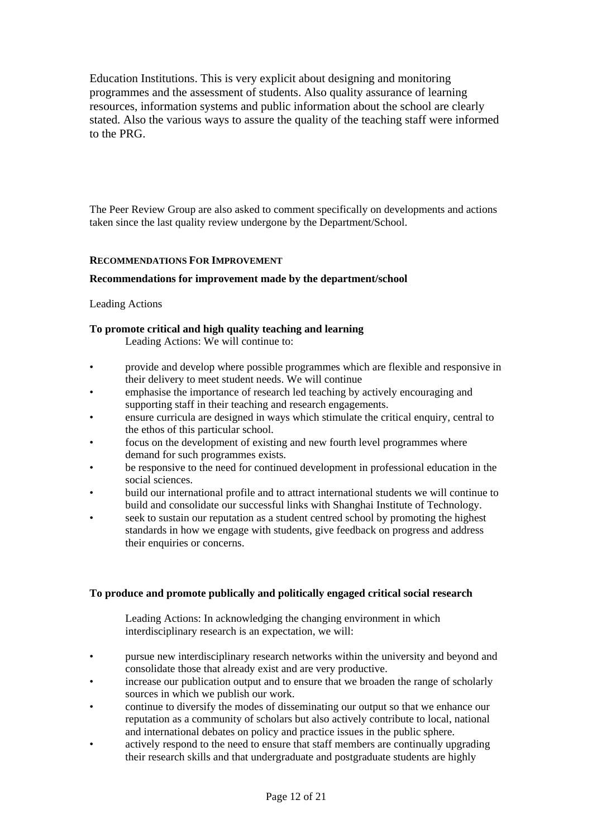Education Institutions. This is very explicit about designing and monitoring programmes and the assessment of students. Also quality assurance of learning resources, information systems and public information about the school are clearly stated. Also the various ways to assure the quality of the teaching staff were informed to the PRG.

The Peer Review Group are also asked to comment specifically on developments and actions taken since the last quality review undergone by the Department/School.

### **RECOMMENDATIONS FOR IMPROVEMENT**

#### **Recommendations for improvement made by the department/school**

#### Leading Actions

### **To promote critical and high quality teaching and learning**

Leading Actions: We will continue to:

- provide and develop where possible programmes which are flexible and responsive in their delivery to meet student needs. We will continue
- emphasise the importance of research led teaching by actively encouraging and supporting staff in their teaching and research engagements.
- ensure curricula are designed in ways which stimulate the critical enquiry, central to the ethos of this particular school.
- focus on the development of existing and new fourth level programmes where demand for such programmes exists.
- be responsive to the need for continued development in professional education in the social sciences.
- build our international profile and to attract international students we will continue to build and consolidate our successful links with Shanghai Institute of Technology.
- seek to sustain our reputation as a student centred school by promoting the highest standards in how we engage with students, give feedback on progress and address their enquiries or concerns.

#### **To produce and promote publically and politically engaged critical social research**

Leading Actions: In acknowledging the changing environment in which interdisciplinary research is an expectation, we will:

- pursue new interdisciplinary research networks within the university and beyond and consolidate those that already exist and are very productive.
- increase our publication output and to ensure that we broaden the range of scholarly sources in which we publish our work.
- continue to diversify the modes of disseminating our output so that we enhance our reputation as a community of scholars but also actively contribute to local, national and international debates on policy and practice issues in the public sphere.
- actively respond to the need to ensure that staff members are continually upgrading their research skills and that undergraduate and postgraduate students are highly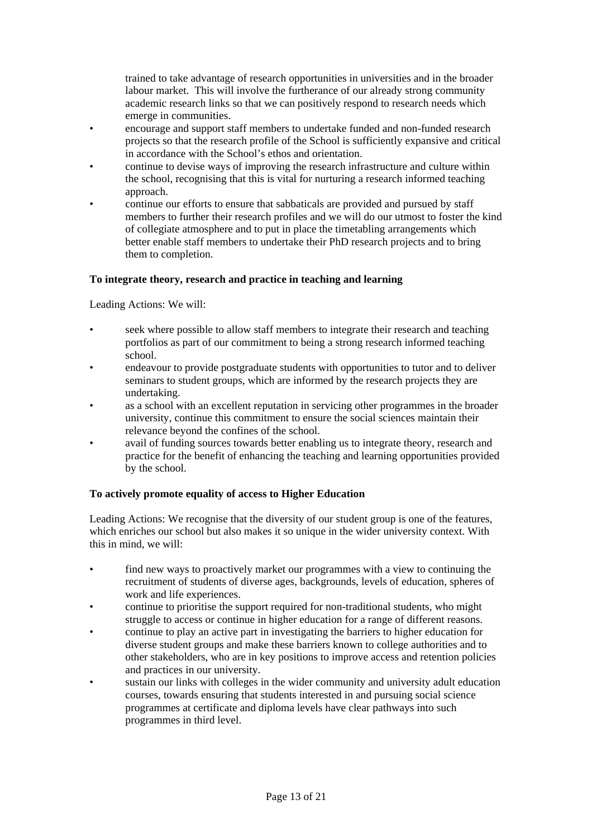trained to take advantage of research opportunities in universities and in the broader labour market. This will involve the furtherance of our already strong community academic research links so that we can positively respond to research needs which emerge in communities.

- encourage and support staff members to undertake funded and non-funded research projects so that the research profile of the School is sufficiently expansive and critical in accordance with the School's ethos and orientation.
- continue to devise ways of improving the research infrastructure and culture within the school, recognising that this is vital for nurturing a research informed teaching approach.
- continue our efforts to ensure that sabbaticals are provided and pursued by staff members to further their research profiles and we will do our utmost to foster the kind of collegiate atmosphere and to put in place the timetabling arrangements which better enable staff members to undertake their PhD research projects and to bring them to completion.

### **To integrate theory, research and practice in teaching and learning**

Leading Actions: We will:

- seek where possible to allow staff members to integrate their research and teaching portfolios as part of our commitment to being a strong research informed teaching school.
- endeavour to provide postgraduate students with opportunities to tutor and to deliver seminars to student groups, which are informed by the research projects they are undertaking.
- as a school with an excellent reputation in servicing other programmes in the broader university, continue this commitment to ensure the social sciences maintain their relevance beyond the confines of the school.
- avail of funding sources towards better enabling us to integrate theory, research and practice for the benefit of enhancing the teaching and learning opportunities provided by the school.

#### **To actively promote equality of access to Higher Education**

Leading Actions: We recognise that the diversity of our student group is one of the features, which enriches our school but also makes it so unique in the wider university context. With this in mind, we will:

- find new ways to proactively market our programmes with a view to continuing the recruitment of students of diverse ages, backgrounds, levels of education, spheres of work and life experiences.
- continue to prioritise the support required for non-traditional students, who might struggle to access or continue in higher education for a range of different reasons.
- continue to play an active part in investigating the barriers to higher education for diverse student groups and make these barriers known to college authorities and to other stakeholders, who are in key positions to improve access and retention policies and practices in our university.
- sustain our links with colleges in the wider community and university adult education courses, towards ensuring that students interested in and pursuing social science programmes at certificate and diploma levels have clear pathways into such programmes in third level.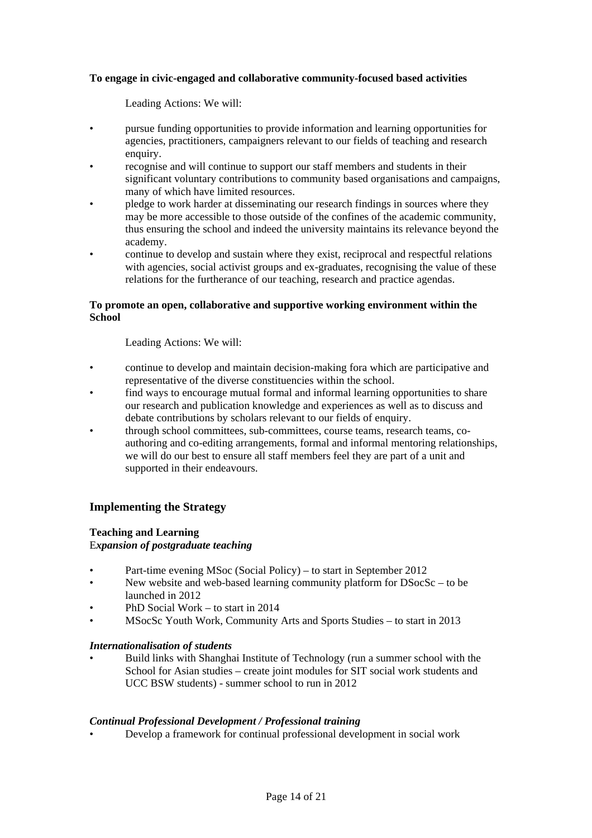### **To engage in civic-engaged and collaborative community-focused based activities**

Leading Actions: We will:

- pursue funding opportunities to provide information and learning opportunities for agencies, practitioners, campaigners relevant to our fields of teaching and research enquiry.
- recognise and will continue to support our staff members and students in their significant voluntary contributions to community based organisations and campaigns, many of which have limited resources.
- pledge to work harder at disseminating our research findings in sources where they may be more accessible to those outside of the confines of the academic community, thus ensuring the school and indeed the university maintains its relevance beyond the academy.
- continue to develop and sustain where they exist, reciprocal and respectful relations with agencies, social activist groups and ex-graduates, recognising the value of these relations for the furtherance of our teaching, research and practice agendas.

#### **To promote an open, collaborative and supportive working environment within the School**

Leading Actions: We will:

- continue to develop and maintain decision-making fora which are participative and representative of the diverse constituencies within the school.
- find ways to encourage mutual formal and informal learning opportunities to share our research and publication knowledge and experiences as well as to discuss and debate contributions by scholars relevant to our fields of enquiry.
- through school committees, sub-committees, course teams, research teams, coauthoring and co-editing arrangements, formal and informal mentoring relationships, we will do our best to ensure all staff members feel they are part of a unit and supported in their endeavours.

## **Implementing the Strategy**

#### **Teaching and Learning**

E*xpansion of postgraduate teaching* 

- Part-time evening MSoc (Social Policy) to start in September 2012
- New website and web-based learning community platform for DSocSc to be launched in 2012
- PhD Social Work to start in 2014
- MSocSc Youth Work, Community Arts and Sports Studies to start in 2013

#### *Internationalisation of students*

• Build links with Shanghai Institute of Technology (run a summer school with the School for Asian studies – create joint modules for SIT social work students and UCC BSW students) - summer school to run in 2012

#### *Continual Professional Development / Professional training*

• Develop a framework for continual professional development in social work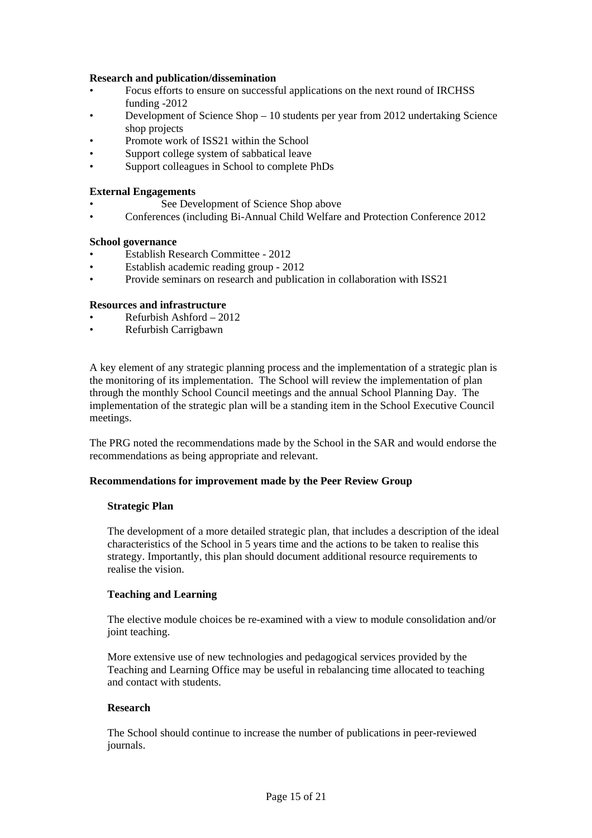#### **Research and publication/dissemination**

- Focus efforts to ensure on successful applications on the next round of IRCHSS funding -2012
- Development of Science Shop 10 students per year from 2012 undertaking Science shop projects
- Promote work of ISS21 within the School
- Support college system of sabbatical leave
- Support colleagues in School to complete PhDs

## **External Engagements**

- See Development of Science Shop above
- Conferences (including Bi-Annual Child Welfare and Protection Conference 2012

#### **School governance**

- Establish Research Committee 2012
- Establish academic reading group 2012
- Provide seminars on research and publication in collaboration with ISS21

#### **Resources and infrastructure**

- Refurbish Ashford 2012
- Refurbish Carrigbawn

A key element of any strategic planning process and the implementation of a strategic plan is the monitoring of its implementation. The School will review the implementation of plan through the monthly School Council meetings and the annual School Planning Day. The implementation of the strategic plan will be a standing item in the School Executive Council meetings.

The PRG noted the recommendations made by the School in the SAR and would endorse the recommendations as being appropriate and relevant.

#### **Recommendations for improvement made by the Peer Review Group**

#### **Strategic Plan**

The development of a more detailed strategic plan, that includes a description of the ideal characteristics of the School in 5 years time and the actions to be taken to realise this strategy. Importantly, this plan should document additional resource requirements to realise the vision.

#### **Teaching and Learning**

The elective module choices be re-examined with a view to module consolidation and/or joint teaching.

More extensive use of new technologies and pedagogical services provided by the Teaching and Learning Office may be useful in rebalancing time allocated to teaching and contact with students.

#### **Research**

The School should continue to increase the number of publications in peer-reviewed journals.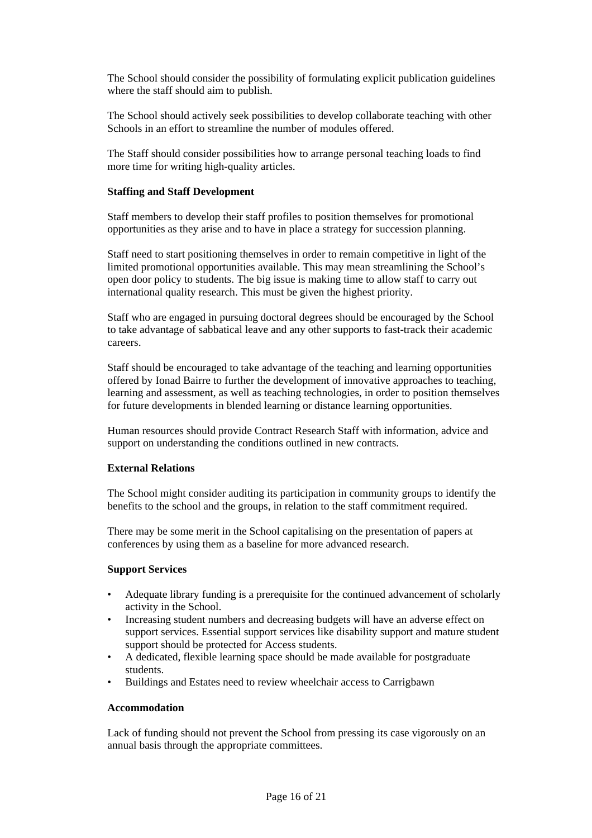The School should consider the possibility of formulating explicit publication guidelines where the staff should aim to publish.

The School should actively seek possibilities to develop collaborate teaching with other Schools in an effort to streamline the number of modules offered.

The Staff should consider possibilities how to arrange personal teaching loads to find more time for writing high-quality articles.

#### **Staffing and Staff Development**

Staff members to develop their staff profiles to position themselves for promotional opportunities as they arise and to have in place a strategy for succession planning.

Staff need to start positioning themselves in order to remain competitive in light of the limited promotional opportunities available. This may mean streamlining the School's open door policy to students. The big issue is making time to allow staff to carry out international quality research. This must be given the highest priority.

Staff who are engaged in pursuing doctoral degrees should be encouraged by the School to take advantage of sabbatical leave and any other supports to fast-track their academic careers.

Staff should be encouraged to take advantage of the teaching and learning opportunities offered by Ionad Bairre to further the development of innovative approaches to teaching, learning and assessment, as well as teaching technologies, in order to position themselves for future developments in blended learning or distance learning opportunities.

Human resources should provide Contract Research Staff with information, advice and support on understanding the conditions outlined in new contracts.

#### **External Relations**

The School might consider auditing its participation in community groups to identify the benefits to the school and the groups, in relation to the staff commitment required.

There may be some merit in the School capitalising on the presentation of papers at conferences by using them as a baseline for more advanced research.

#### **Support Services**

- Adequate library funding is a prerequisite for the continued advancement of scholarly activity in the School.
- Increasing student numbers and decreasing budgets will have an adverse effect on support services. Essential support services like disability support and mature student support should be protected for Access students.
- A dedicated, flexible learning space should be made available for postgraduate students.
- Buildings and Estates need to review wheelchair access to Carrigbawn

#### **Accommodation**

Lack of funding should not prevent the School from pressing its case vigorously on an annual basis through the appropriate committees.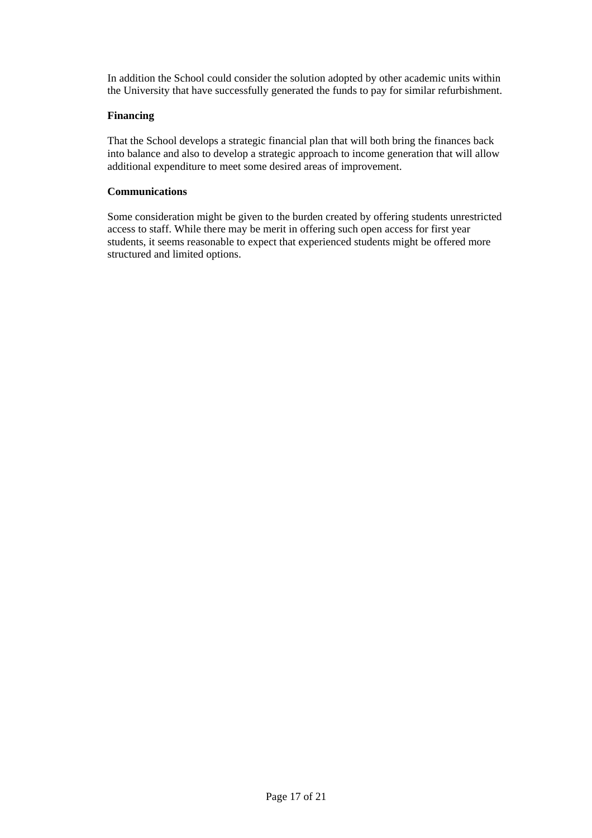In addition the School could consider the solution adopted by other academic units within the University that have successfully generated the funds to pay for similar refurbishment.

#### **Financing**

That the School develops a strategic financial plan that will both bring the finances back into balance and also to develop a strategic approach to income generation that will allow additional expenditure to meet some desired areas of improvement.

#### **Communications**

Some consideration might be given to the burden created by offering students unrestricted access to staff. While there may be merit in offering such open access for first year students, it seems reasonable to expect that experienced students might be offered more structured and limited options.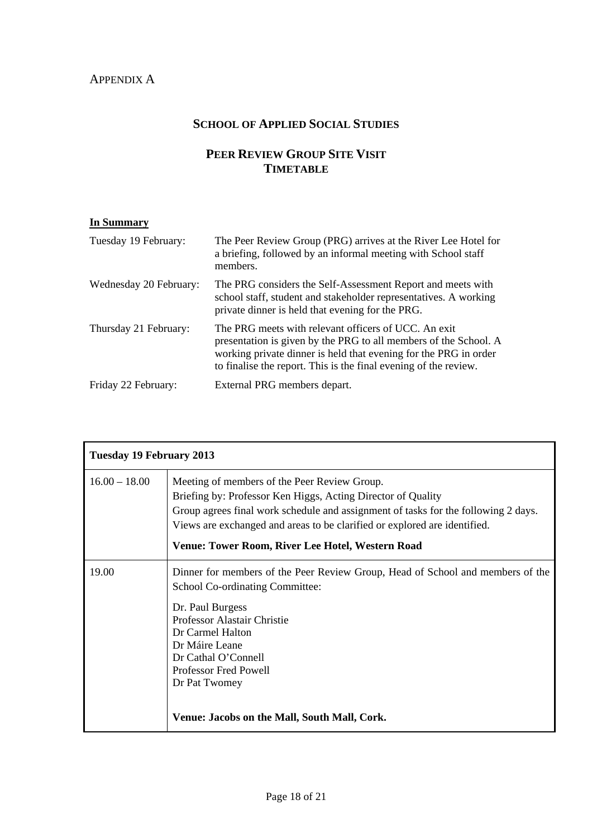## APPENDIX A

## **SCHOOL OF APPLIED SOCIAL STUDIES**

## **PEER REVIEW GROUP SITE VISIT TIMETABLE**

#### **In Summary**

| Tuesday 19 February:   | The Peer Review Group (PRG) arrives at the River Lee Hotel for<br>a briefing, followed by an informal meeting with School staff<br>members.                                                                                                                      |
|------------------------|------------------------------------------------------------------------------------------------------------------------------------------------------------------------------------------------------------------------------------------------------------------|
| Wednesday 20 February: | The PRG considers the Self-Assessment Report and meets with<br>school staff, student and stakeholder representatives. A working<br>private dinner is held that evening for the PRG.                                                                              |
| Thursday 21 February:  | The PRG meets with relevant officers of UCC. An exit<br>presentation is given by the PRG to all members of the School. A<br>working private dinner is held that evening for the PRG in order<br>to finalise the report. This is the final evening of the review. |
| Friday 22 February:    | External PRG members depart.                                                                                                                                                                                                                                     |

| <b>Tuesday 19 February 2013</b> |                                                                                                                                                                                                                                                                                                                                            |
|---------------------------------|--------------------------------------------------------------------------------------------------------------------------------------------------------------------------------------------------------------------------------------------------------------------------------------------------------------------------------------------|
| $16.00 - 18.00$                 | Meeting of members of the Peer Review Group.<br>Briefing by: Professor Ken Higgs, Acting Director of Quality<br>Group agrees final work schedule and assignment of tasks for the following 2 days.<br>Views are exchanged and areas to be clarified or explored are identified.<br><b>Venue: Tower Room, River Lee Hotel, Western Road</b> |
| 19.00                           | Dinner for members of the Peer Review Group, Head of School and members of the<br>School Co-ordinating Committee:<br>Dr. Paul Burgess<br>Professor Alastair Christie<br>Dr Carmel Halton<br>Dr Máire Leane<br>Dr Cathal O'Connell<br><b>Professor Fred Powell</b><br>Dr Pat Twomey<br>Venue: Jacobs on the Mall, South Mall, Cork.         |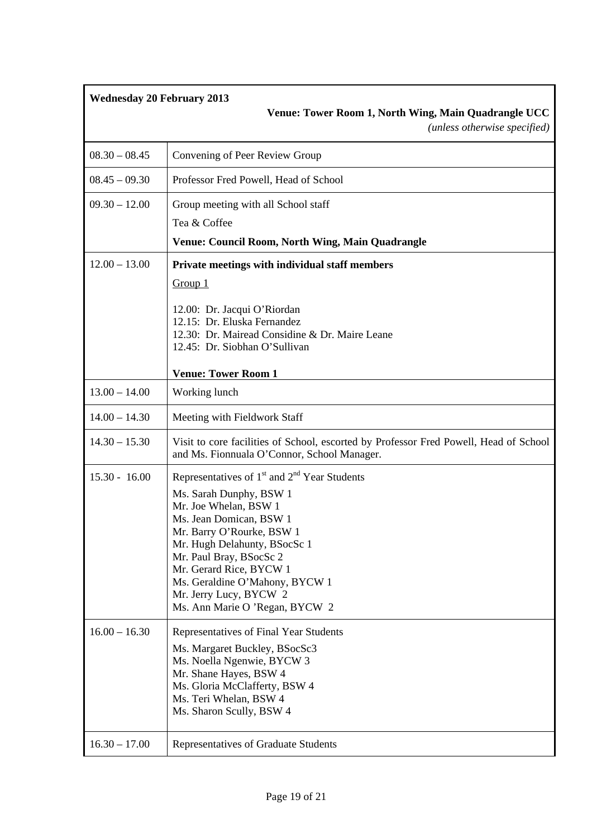| <b>Wednesday 20 February 2013</b> | Venue: Tower Room 1, North Wing, Main Quadrangle UCC<br>(unless otherwise specified)                                                                                                                                                                                                                                                            |
|-----------------------------------|-------------------------------------------------------------------------------------------------------------------------------------------------------------------------------------------------------------------------------------------------------------------------------------------------------------------------------------------------|
| $08.30 - 08.45$                   | Convening of Peer Review Group                                                                                                                                                                                                                                                                                                                  |
| $08.45 - 09.30$                   | Professor Fred Powell, Head of School                                                                                                                                                                                                                                                                                                           |
| $09.30 - 12.00$                   | Group meeting with all School staff                                                                                                                                                                                                                                                                                                             |
|                                   | Tea & Coffee                                                                                                                                                                                                                                                                                                                                    |
|                                   | <b>Venue: Council Room, North Wing, Main Quadrangle</b>                                                                                                                                                                                                                                                                                         |
| $12.00 - 13.00$                   | Private meetings with individual staff members<br>Group 1<br>12.00: Dr. Jacqui O'Riordan<br>12.15: Dr. Eluska Fernandez<br>12.30: Dr. Mairead Considine & Dr. Maire Leane<br>12.45: Dr. Siobhan O'Sullivan                                                                                                                                      |
|                                   | <b>Venue: Tower Room 1</b>                                                                                                                                                                                                                                                                                                                      |
| $13.00 - 14.00$                   | Working lunch                                                                                                                                                                                                                                                                                                                                   |
| $14.00 - 14.30$                   | Meeting with Fieldwork Staff                                                                                                                                                                                                                                                                                                                    |
| $14.30 - 15.30$                   | Visit to core facilities of School, escorted by Professor Fred Powell, Head of School<br>and Ms. Fionnuala O'Connor, School Manager.                                                                                                                                                                                                            |
| $15.30 - 16.00$                   | Representatives of $1st$ and $2nd$ Year Students<br>Ms. Sarah Dunphy, BSW 1<br>Mr. Joe Whelan, BSW 1<br>Ms. Jean Domican, BSW 1<br>Mr. Barry O'Rourke, BSW 1<br>Mr. Hugh Delahunty, BSocSc 1<br>Mr. Paul Bray, BSocSc 2<br>Mr. Gerard Rice, BYCW 1<br>Ms. Geraldine O'Mahony, BYCW 1<br>Mr. Jerry Lucy, BYCW 2<br>Ms. Ann Marie O'Regan, BYCW 2 |
| $16.00 - 16.30$                   | Representatives of Final Year Students<br>Ms. Margaret Buckley, BSocSc3<br>Ms. Noella Ngenwie, BYCW 3<br>Mr. Shane Hayes, BSW 4<br>Ms. Gloria McClafferty, BSW 4<br>Ms. Teri Whelan, BSW 4<br>Ms. Sharon Scully, BSW 4                                                                                                                          |
| $16.30 - 17.00$                   | Representatives of Graduate Students                                                                                                                                                                                                                                                                                                            |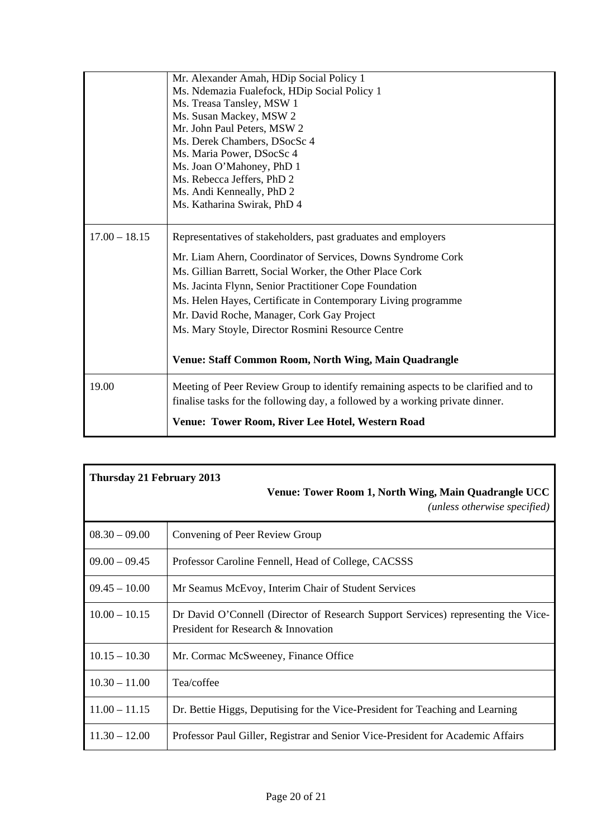|                 | Mr. Alexander Amah, HDip Social Policy 1                                                                                                                           |
|-----------------|--------------------------------------------------------------------------------------------------------------------------------------------------------------------|
|                 | Ms. Ndemazia Fualefock, HDip Social Policy 1                                                                                                                       |
|                 | Ms. Treasa Tansley, MSW 1                                                                                                                                          |
|                 | Ms. Susan Mackey, MSW 2                                                                                                                                            |
|                 | Mr. John Paul Peters, MSW 2                                                                                                                                        |
|                 | Ms. Derek Chambers, DSocSc 4                                                                                                                                       |
|                 | Ms. Maria Power, DSocSc 4                                                                                                                                          |
|                 | Ms. Joan O'Mahoney, PhD 1                                                                                                                                          |
|                 | Ms. Rebecca Jeffers, PhD 2                                                                                                                                         |
|                 | Ms. Andi Kenneally, PhD 2                                                                                                                                          |
|                 | Ms. Katharina Swirak, PhD 4                                                                                                                                        |
| $17.00 - 18.15$ | Representatives of stakeholders, past graduates and employers                                                                                                      |
|                 | Mr. Liam Ahern, Coordinator of Services, Downs Syndrome Cork                                                                                                       |
|                 | Ms. Gillian Barrett, Social Worker, the Other Place Cork                                                                                                           |
|                 | Ms. Jacinta Flynn, Senior Practitioner Cope Foundation                                                                                                             |
|                 | Ms. Helen Hayes, Certificate in Contemporary Living programme                                                                                                      |
|                 | Mr. David Roche, Manager, Cork Gay Project                                                                                                                         |
|                 | Ms. Mary Stoyle, Director Rosmini Resource Centre                                                                                                                  |
|                 | Venue: Staff Common Room, North Wing, Main Quadrangle                                                                                                              |
|                 |                                                                                                                                                                    |
| 19.00           | Meeting of Peer Review Group to identify remaining aspects to be clarified and to<br>finalise tasks for the following day, a followed by a working private dinner. |
|                 | Venue: Tower Room, River Lee Hotel, Western Road                                                                                                                   |

| <b>Thursday 21 February 2013</b><br>Venue: Tower Room 1, North Wing, Main Quadrangle UCC<br>(unless otherwise specified) |                                                                                                                          |  |
|--------------------------------------------------------------------------------------------------------------------------|--------------------------------------------------------------------------------------------------------------------------|--|
| $08.30 - 09.00$                                                                                                          | Convening of Peer Review Group                                                                                           |  |
| $09.00 - 09.45$                                                                                                          | Professor Caroline Fennell, Head of College, CACSSS                                                                      |  |
| $09.45 - 10.00$                                                                                                          | Mr Seamus McEvoy, Interim Chair of Student Services                                                                      |  |
| $10.00 - 10.15$                                                                                                          | Dr David O'Connell (Director of Research Support Services) representing the Vice-<br>President for Research & Innovation |  |
| $10.15 - 10.30$                                                                                                          | Mr. Cormac McSweeney, Finance Office                                                                                     |  |
| $10.30 - 11.00$                                                                                                          | Tea/coffee                                                                                                               |  |
| $11.00 - 11.15$                                                                                                          | Dr. Bettie Higgs, Deputising for the Vice-President for Teaching and Learning                                            |  |
| $11.30 - 12.00$                                                                                                          | Professor Paul Giller, Registrar and Senior Vice-President for Academic Affairs                                          |  |